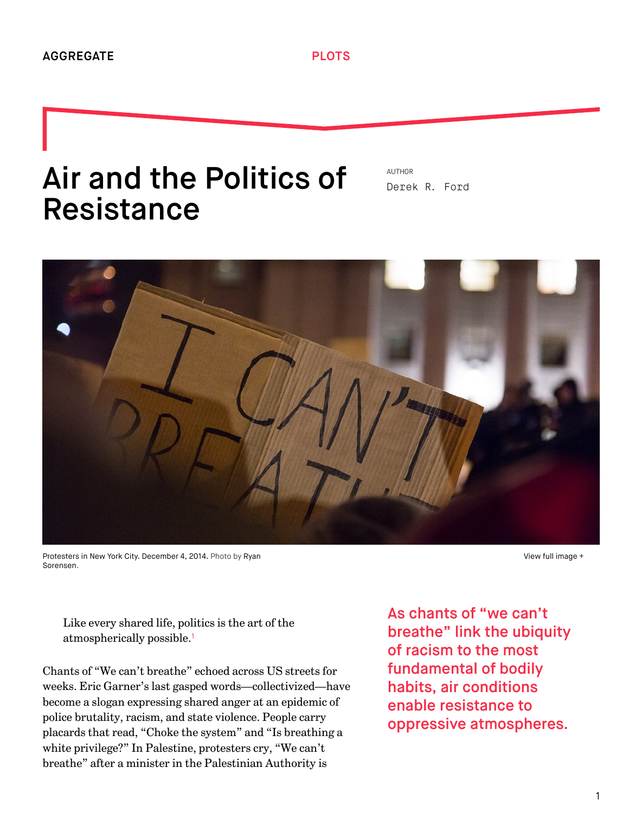## Air and the Politics of Resistance

AUTHOR [Derek R. Ford](http://we-aggregate.org/people/derek-r-ford)



[Protesters in New York City. December 4, 2014. Photo by Ryan](https://www.flickr.com/photos/ryansorensen/) Sorensen.

[View full image +](http://we-aggregate.org/media/files/f56f629ff7d02d78acaa936785052d64.jpg)

<span id="page-0-0"></span>Like every shared life, politics is the art of the atmospherically possible. [1](#page-5-0)

Chants of "We can't breathe" echoed across US streets for weeks. Eric Garner's last gasped words—collectivized—have become a slogan expressing shared anger at an epidemic of police brutality, racism, and state violence. People carry placards that read, "Choke the system" and "Is breathing a white privilege?" In Palestine, protesters cry, "We can't breathe" after a minister in the Palestinian Authority is

As chants of "we can't breathe" link the ubiquity of racism to the most fundamental of bodily habits, air conditions enable resistance to oppressive atmospheres.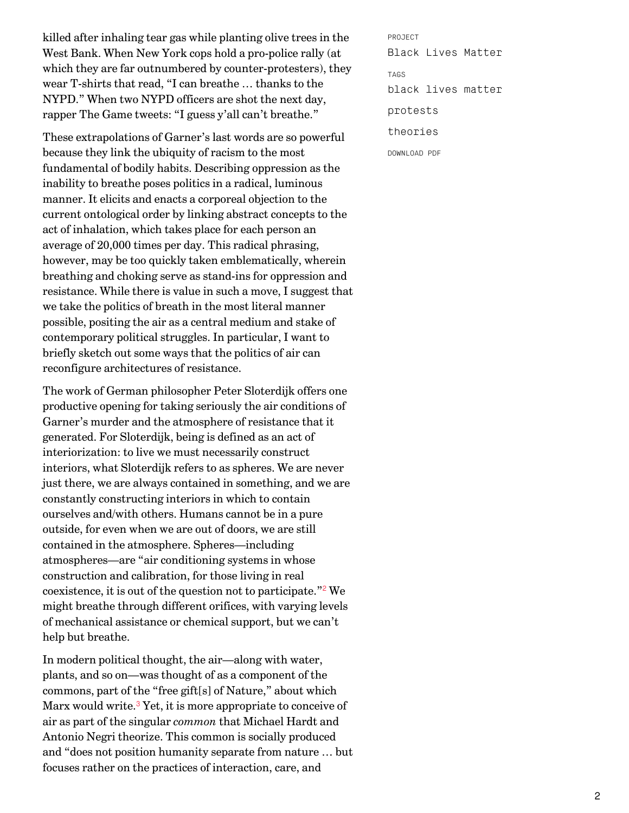killed after inhaling tear gas while planting olive trees in the West Bank. When New York cops hold a pro-police rally (at which they are far outnumbered by counter-protesters), they wear T-shirts that read, "I can breathe … thanks to the NYPD." When two NYPD officers are shot the next day, rapper The Game tweets: "I guess y'all can't breathe."

These extrapolations of Garner's last words are so powerful because they link the ubiquity of racism to the most fundamental of bodily habits. Describing oppression as the inability to breathe poses politics in a radical, luminous manner. It elicits and enacts a corporeal objection to the current ontological order by linking abstract concepts to the act of inhalation, which takes place for each person an average of 20,000 times per day. This radical phrasing, however, may be too quickly taken emblematically, wherein breathing and choking serve as stand-ins for oppression and resistance. While there is value in such a move, I suggest that we take the politics of breath in the most literal manner possible, positing the air as a central medium and stake of contemporary political struggles. In particular, I want to briefly sketch out some ways that the politics of air can reconfigure architectures of resistance.

The work of German philosopher Peter Sloterdijk offers one productive opening for taking seriously the air conditions of Garner's murder and the atmosphere of resistance that it generated. For Sloterdijk, being is defined as an act of interiorization: to live we must necessarily construct interiors, what Sloterdijk refers to as spheres. We are never just there, we are always contained in something, and we are constantly constructing interiors in which to contain ourselves and/with others. Humans cannot be in a pure outside, for even when we are out of doors, we are still contained in the atmosphere. Spheres—including atmospheres—are "air conditioning systems in whose construction and calibration, for those living in real coexistence, it is out of the question not to participate."<sup>[2](#page-5-1)</sup> We might breathe through different orifices, with varying levels of mechanical assistance or chemical support, but we can't help but breathe.

<span id="page-1-1"></span><span id="page-1-0"></span>In modern political thought, the air—along with water, plants, and so on—was thought of as a component of the commons, part of the "free gift[s] of Nature," about which Marx would write.<sup>[3](#page-5-2)</sup> Yet, it is more appropriate to conceive of air as part of the singular *common* that Michael Hardt and Antonio Negri theorize. This common is socially produced and "does not position humanity separate from nature … but focuses rather on the practices of interaction, care, and

PROJECT [Black Lives Matter](http://we-aggregate.org/project/black-lives-matter) TAGS [black lives matter](http://we-aggregate.org/tag/black-lives-matter) [protests](http://we-aggregate.org/tag/protests) [theories](http://we-aggregate.org/tag/theories) DOWNLOAD PDF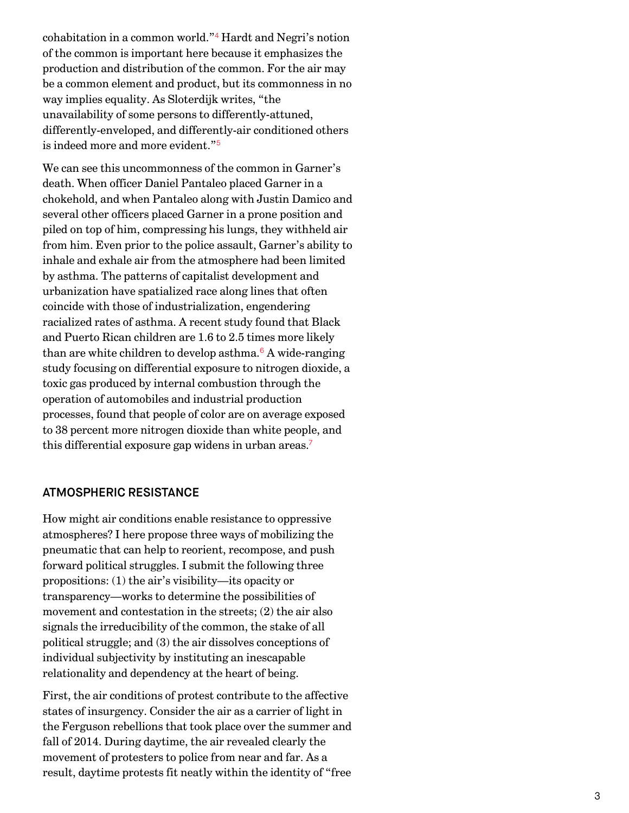<span id="page-2-0"></span>cohabitation in a common world."<sup>[4](#page-5-3)</sup> Hardt and Negri's notion of the common is important here because it emphasizes the production and distribution of the common. For the air may be a common element and product, but its commonness in no way implies equality. As Sloterdijk writes, "the unavailability of some persons to differently-attuned, differently-enveloped, and differently-air conditioned others is indeed more and more evident." [5](#page-5-4)

<span id="page-2-1"></span>We can see this uncommonness of the common in Garner's death. When officer Daniel Pantaleo placed Garner in a chokehold, and when Pantaleo along with Justin Damico and several other officers placed Garner in a prone position and piled on top of him, compressing his lungs, they withheld air from him. Even prior to the police assault, Garner's ability to inhale and exhale air from the atmosphere had been limited by asthma. The patterns of capitalist development and urbanization have spatialized race along lines that often coincide with those of industrialization, engendering racialized rates of asthma. A recent study found that Black and Puerto Rican children are 1.6 to 2.5 times more likely than are white children to develop asthma.<sup>[6](#page-5-5)</sup> A wide-ranging study focusing on differential exposure to nitrogen dioxide, a toxic gas produced by internal combustion through the operation of automobiles and industrial production processes, found that people of color are on average exposed to 38 percent more nitrogen dioxide than white people, and this differential exposure gap widens in urban areas. [7](#page-5-6)

## <span id="page-2-3"></span><span id="page-2-2"></span>ATMOSPHERIC RESISTANCE

How might air conditions enable resistance to oppressive atmospheres? I here propose three ways of mobilizing the pneumatic that can help to reorient, recompose, and push forward political struggles. I submit the following three propositions: (1) the air's visibility—its opacity or transparency—works to determine the possibilities of movement and contestation in the streets; (2) the air also signals the irreducibility of the common, the stake of all political struggle; and (3) the air dissolves conceptions of individual subjectivity by instituting an inescapable relationality and dependency at the heart of being.

First, the air conditions of protest contribute to the affective states of insurgency. Consider the air as a carrier of light in the Ferguson rebellions that took place over the summer and fall of 2014. During daytime, the air revealed clearly the movement of protesters to police from near and far. As a result, daytime protests fit neatly within the identity of "free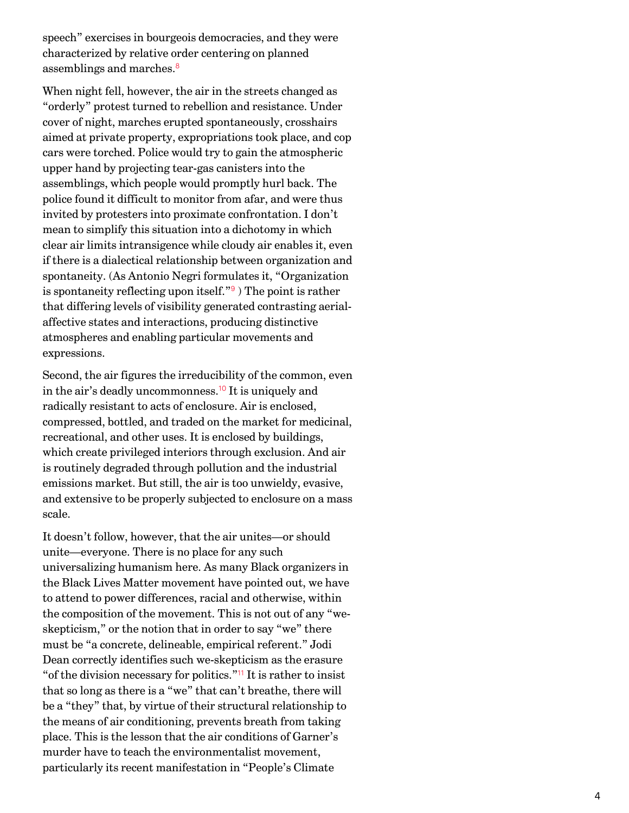speech" exercises in bourgeois democracies, and they were characterized by relative order centering on planned assemblings and marches. [8](#page-5-7)

<span id="page-3-0"></span>When night fell, however, the air in the streets changed as "orderly" protest turned to rebellion and resistance. Under cover of night, marches erupted spontaneously, crosshairs aimed at private property, expropriations took place, and cop cars were torched. Police would try to gain the atmospheric upper hand by projecting tear-gas canisters into the assemblings, which people would promptly hurl back. The police found it difficult to monitor from afar, and were thus invited by protesters into proximate confrontation. I don't mean to simplify this situation into a dichotomy in which clear air limits intransigence while cloudy air enables it, even if there is a dialectical relationship between organization and spontaneity. (As Antonio Negri formulates it, "Organization isspontaneity reflecting upon itself."<sup>9</sup>) The point is rather that differing levels of visibility generated contrasting aerialaffective states and interactions, producing distinctive atmospheres and enabling particular movements and expressions.

<span id="page-3-2"></span><span id="page-3-1"></span>Second, the air figures the irreducibility of the common, even in the air's deadly uncommonness.<sup>[10](#page-5-9)</sup> It is uniquely and radically resistant to acts of enclosure. Air is enclosed, compressed, bottled, and traded on the market for medicinal, recreational, and other uses. It is enclosed by buildings, which create privileged interiors through exclusion. And air is routinely degraded through pollution and the industrial emissions market. But still, the air is too unwieldy, evasive, and extensive to be properly subjected to enclosure on a mass scale.

<span id="page-3-3"></span>It doesn't follow, however, that the air unites—or should unite—everyone. There is no place for any such universalizing humanism here. As many Black organizers in the Black Lives Matter movement have pointed out, we have to attend to power differences, racial and otherwise, within the composition of the movement. This is not out of any "weskepticism," or the notion that in order to say "we" there must be "a concrete, delineable, empirical referent." Jodi Dean correctly identifies such we-skepticism as the erasure " of the division necessary for politics."<sup>[11](#page-5-10)</sup> It is rather to insist that so long as there is a "we" that can't breathe, there will be a "they" that, by virtue of their structural relationship to the means of air conditioning, prevents breath from taking place. This is the lesson that the air conditions of Garner's murder have to teach the environmentalist movement, particularly its recent manifestation in "People's Climate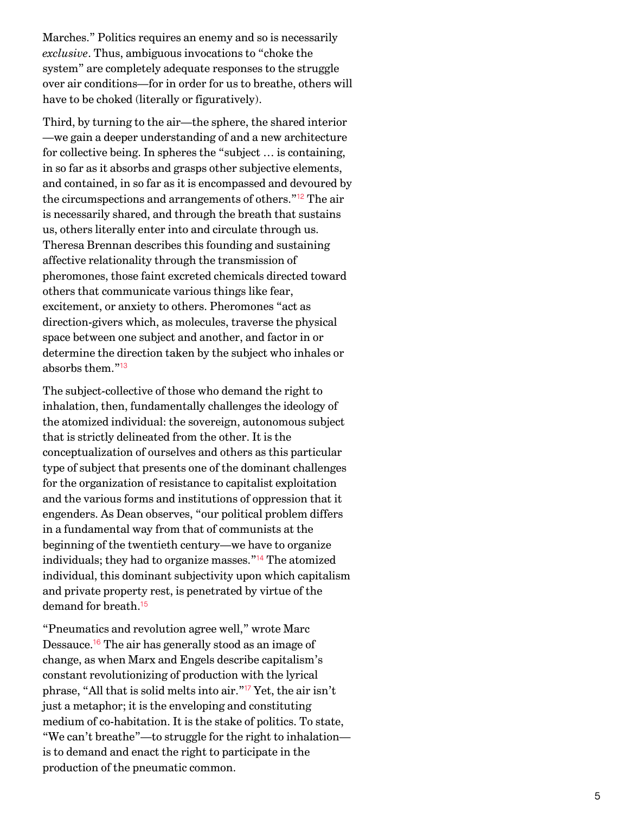Marches." Politics requires an enemy and so is necessarily *exclusive*. Thus, ambiguous invocations to "choke the system" are completely adequate responses to the struggle over air conditions—for in order for us to breathe, others will have to be choked (literally or figuratively).

<span id="page-4-0"></span>Third, by turning to the air—the sphere, the shared interior —we gain a deeper understanding of and a new architecture for collective being. In spheres the "subject … is containing, in so far as it absorbs and grasps other subjective elements, and contained, in so far as it is encompassed and devoured by the circumspections and arrangements of others."<sup>[12](#page-5-11)</sup> The air is necessarily shared, and through the breath that sustains us, others literally enter into and circulate through us. Theresa Brennan describes this founding and sustaining affective relationality through the transmission of pheromones, those faint excreted chemicals directed toward others that communicate various things like fear, excitement, or anxiety to others. Pheromones "act as direction-givers which, as molecules, traverse the physical space between one subject and another, and factor in or determine the direction taken by the subject who inhales or absorbs them." [13](#page-5-12)

<span id="page-4-1"></span>The subject-collective of those who demand the right to inhalation, then, fundamentally challenges the ideology of the atomized individual: the sovereign, autonomous subject that is strictly delineated from the other. It is the conceptualization of ourselves and others as this particular type of subject that presents one of the dominant challenges for the organization of resistance to capitalist exploitation and the various forms and institutions of oppression that it engenders. As Dean observes, "our political problem differs in a fundamental way from that of communists at the beginning of the twentieth century—we have to organize individuals; they had to organize masses."<sup>[14](#page-5-13)</sup> The atomized individual, this dominant subjectivity upon which capitalism and private property rest, is penetrated by virtue of the demand for breath. [15](#page-5-14)

<span id="page-4-5"></span><span id="page-4-4"></span><span id="page-4-3"></span><span id="page-4-2"></span>"Pneumatics and revolution agree well," wrote Marc Dessauce.<sup>[16](#page-5-15)</sup> The air has generally stood as an image of change, as when Marx and Engels describe capitalism's constant revolutionizing of production with the lyrical phrase, "All that is solid melts into air."<sup>[17](#page-5-16)</sup> Yet, the air isn't just a metaphor; it is the enveloping and constituting medium of co-habitation. It is the stake of politics. To state, "We can't breathe"—to struggle for the right to inhalation is to demand and enact the right to participate in the production of the pneumatic common.